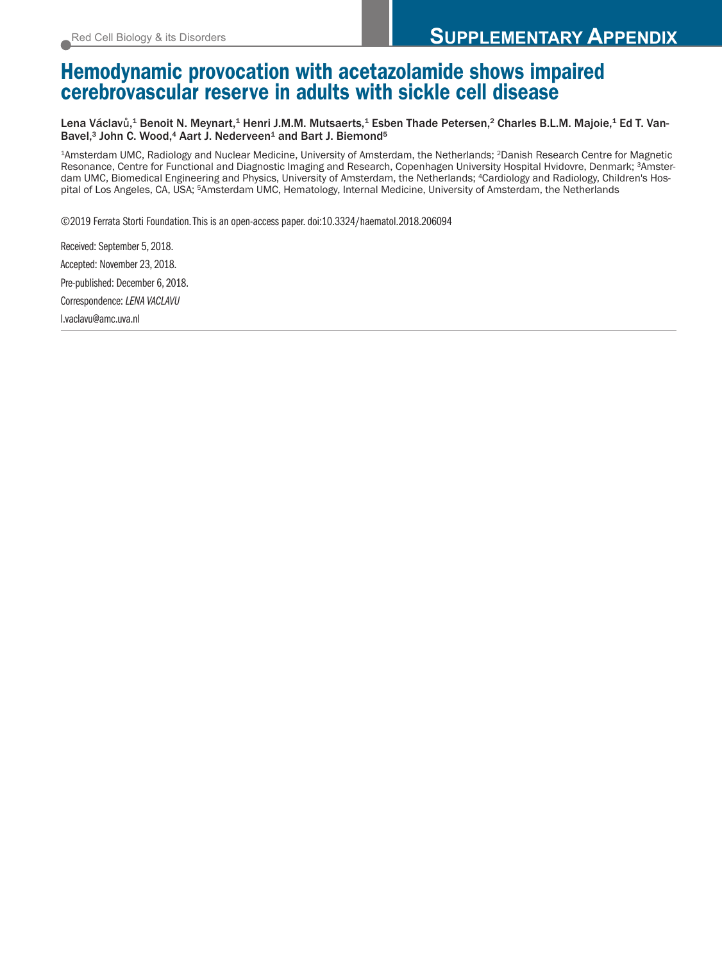# **Hemodynamic provocation with acetazolamide shows impaired cerebrovascular reserve in adults with sickle cell disease**

Lena Václavů,<sup>1</sup> Benoit N. Meynart,<sup>1</sup> Henri J.M.M. Mutsaerts,<sup>1</sup> Esben Thade Petersen,<sup>2</sup> Charles B.L.M. Majoie,<sup>1</sup> Ed T. Van-Bavel,<sup>3</sup> John C. Wood,<sup>4</sup> Aart J. Nederveen<sup>1</sup> and Bart J. Biemond<sup>5</sup>

1Amsterdam UMC, Radiology and Nuclear Medicine, University of Amsterdam, the Netherlands; 2Danish Research Centre for Magnetic Resonance, Centre for Functional and Diagnostic Imaging and Research, Copenhagen University Hospital Hvidovre, Denmark; 3Amsterdam UMC, Biomedical Engineering and Physics, University of Amsterdam, the Netherlands; 4Cardiology and Radiology, Children's Hospital of Los Angeles, CA, USA; 5Amsterdam UMC, Hematology, Internal Medicine, University of Amsterdam, the Netherlands

©2019 Ferrata Storti Foundation.This is an open-access paper. doi:10.3324/haematol.2018.206094

Received: September 5, 2018. Accepted: November 23, 2018. Pre-published: December 6, 2018. Correspondence: *LENA VACLAVU* l.vaclavu@amc.uva.nl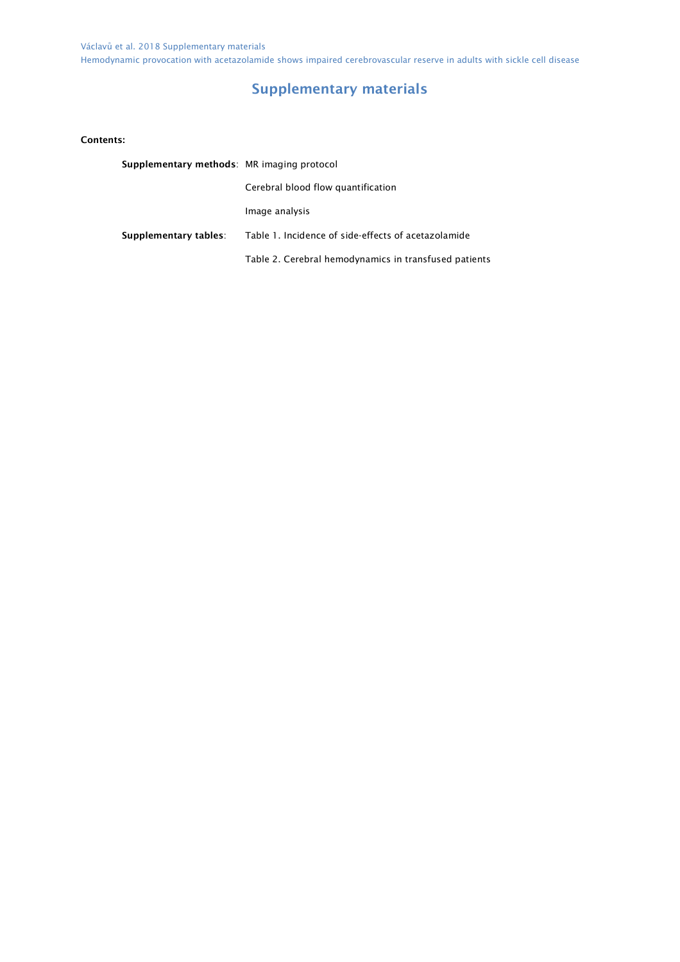## Supplementary materials

Contents:

| Supplementary methods: MR imaging protocol |                                                       |  |  |
|--------------------------------------------|-------------------------------------------------------|--|--|
|                                            | Cerebral blood flow quantification                    |  |  |
|                                            | Image analysis                                        |  |  |
| Supplementary tables:                      | Table 1. Incidence of side-effects of acetazolamide   |  |  |
|                                            | Table 2. Cerebral hemodynamics in transfused patients |  |  |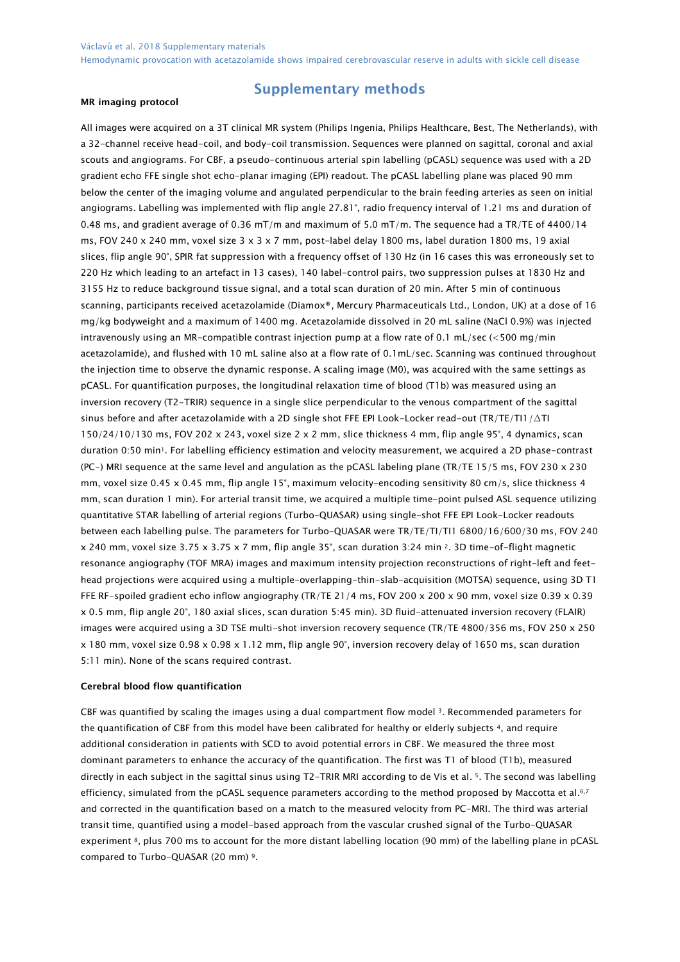#### MR imaging protocol

### Supplementary methods

All images were acquired on a 3T clinical MR system (Philips Ingenia, Philips Healthcare, Best, The Netherlands), with a 32-channel receive head-coil, and body-coil transmission. Sequences were planned on sagittal, coronal and axial scouts and angiograms. For CBF, a pseudo-continuous arterial spin labelling (pCASL) sequence was used with a 2D gradient echo FFE single shot echo-planar imaging (EPI) readout. The pCASL labelling plane was placed 90 mm below the center of the imaging volume and angulated perpendicular to the brain feeding arteries as seen on initial angiograms. Labelling was implemented with flip angle 27.81°, radio frequency interval of 1.21 ms and duration of 0.48 ms, and gradient average of 0.36 mT/m and maximum of 5.0 mT/m. The sequence had a TR/TE of 4400/14 ms, FOV 240 x 240 mm, voxel size 3 x 3 x 7 mm, post-label delay 1800 ms, label duration 1800 ms, 19 axial slices, flip angle 90°, SPIR fat suppression with a frequency offset of 130 Hz (in 16 cases this was erroneously set to 220 Hz which leading to an artefact in 13 cases), 140 label-control pairs, two suppression pulses at 1830 Hz and 3155 Hz to reduce background tissue signal, and a total scan duration of 20 min. After 5 min of continuous scanning, participants received acetazolamide (Diamox®, Mercury Pharmaceuticals Ltd., London, UK) at a dose of 16 mg/kg bodyweight and a maximum of 1400 mg. Acetazolamide dissolved in 20 mL saline (NaCl 0.9%) was injected intravenously using an MR-compatible contrast injection pump at a flow rate of 0.1 mL/sec (<500 mg/min acetazolamide), and flushed with 10 mL saline also at a flow rate of 0.1mL/sec. Scanning was continued throughout the injection time to observe the dynamic response. A scaling image (M0), was acquired with the same settings as pCASL. For quantification purposes, the longitudinal relaxation time of blood (T1b) was measured using an inversion recovery (T2-TRIR) sequence in a single slice perpendicular to the venous compartment of the sagittal sinus before and after acetazolamide with a 2D single shot FFE EPI Look-Locker read-out (TR/TE/TI1/∆TI 150/24/10/130 ms, FOV 202 x 243, voxel size 2 x 2 mm, slice thickness 4 mm, flip angle 95°, 4 dynamics, scan duration 0:50 min1. For labelling efficiency estimation and velocity measurement, we acquired a 2D phase-contrast (PC-) MRI sequence at the same level and angulation as the pCASL labeling plane (TR/TE 15/5 ms, FOV 230 x 230 mm, voxel size 0.45 x 0.45 mm, flip angle 15°, maximum velocity-encoding sensitivity 80 cm/s, slice thickness 4 mm, scan duration 1 min). For arterial transit time, we acquired a multiple time-point pulsed ASL sequence utilizing quantitative STAR labelling of arterial regions (Turbo-QUASAR) using single-shot FFE EPI Look-Locker readouts between each labelling pulse. The parameters for Turbo-QUASAR were TR/TE/TI/TI1 6800/16/600/30 ms, FOV 240 x 240 mm, voxel size 3.75 x 3.75 x 7 mm, flip angle 35°, scan duration 3:24 min 2. 3D time-of-flight magnetic resonance angiography (TOF MRA) images and maximum intensity projection reconstructions of right-left and feethead projections were acquired using a multiple-overlapping-thin-slab-acquisition (MOTSA) sequence, using 3D T1 FFE RF-spoiled gradient echo inflow angiography (TR/TE 21/4 ms, FOV 200 x 200 x 90 mm, voxel size 0.39 x 0.39 x 0.5 mm, flip angle 20°, 180 axial slices, scan duration 5:45 min). 3D fluid-attenuated inversion recovery (FLAIR) images were acquired using a 3D TSE multi-shot inversion recovery sequence (TR/TE 4800/356 ms, FOV 250 x 250 x 180 mm, voxel size 0.98 x 0.98 x 1.12 mm, flip angle 90°, inversion recovery delay of 1650 ms, scan duration 5:11 min). None of the scans required contrast.

#### Cerebral blood flow quantification

CBF was quantified by scaling the images using a dual compartment flow model 3. Recommended parameters for the quantification of CBF from this model have been calibrated for healthy or elderly subjects 4, and require additional consideration in patients with SCD to avoid potential errors in CBF. We measured the three most dominant parameters to enhance the accuracy of the quantification. The first was T1 of blood (T1b), measured directly in each subject in the sagittal sinus using T2-TRIR MRI according to de Vis et al. 5. The second was labelling efficiency, simulated from the pCASL sequence parameters according to the method proposed by Maccotta et al.6,7 and corrected in the quantification based on a match to the measured velocity from PC-MRI. The third was arterial transit time, quantified using a model-based approach from the vascular crushed signal of the Turbo-QUASAR experiment 8, plus 700 ms to account for the more distant labelling location (90 mm) of the labelling plane in pCASL compared to Turbo-QUASAR (20 mm) 9.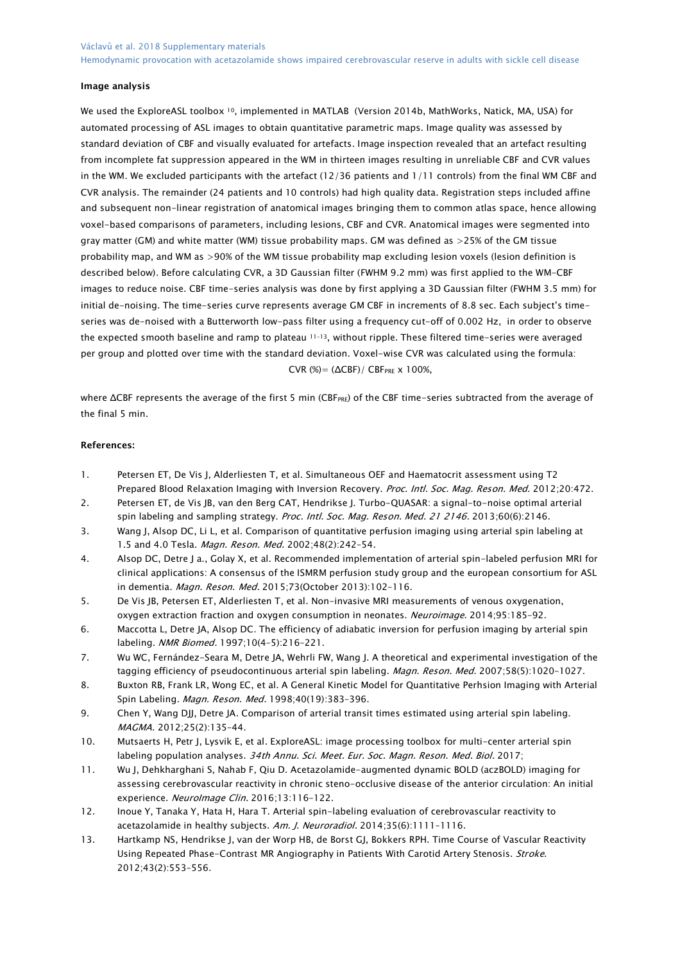#### Image analysis

We used the ExploreASL toolbox <sup>10</sup>, implemented in MATLAB (Version 2014b, MathWorks, Natick, MA, USA) for automated processing of ASL images to obtain quantitative parametric maps. Image quality was assessed by standard deviation of CBF and visually evaluated for artefacts. Image inspection revealed that an artefact resulting from incomplete fat suppression appeared in the WM in thirteen images resulting in unreliable CBF and CVR values in the WM. We excluded participants with the artefact (12/36 patients and 1/11 controls) from the final WM CBF and CVR analysis. The remainder (24 patients and 10 controls) had high quality data. Registration steps included affine and subsequent non-linear registration of anatomical images bringing them to common atlas space, hence allowing voxel-based comparisons of parameters, including lesions, CBF and CVR. Anatomical images were segmented into gray matter (GM) and white matter (WM) tissue probability maps. GM was defined as >25% of the GM tissue probability map, and WM as >90% of the WM tissue probability map excluding lesion voxels (lesion definition is described below). Before calculating CVR, a 3D Gaussian filter (FWHM 9.2 mm) was first applied to the WM-CBF images to reduce noise. CBF time-series analysis was done by first applying a 3D Gaussian filter (FWHM 3.5 mm) for initial de-noising. The time-series curve represents average GM CBF in increments of 8.8 sec. Each subject's timeseries was de-noised with a Butterworth low-pass filter using a frequency cut-off of 0.002 Hz, in order to observe the expected smooth baseline and ramp to plateau 11–13, without ripple. These filtered time-series were averaged per group and plotted over time with the standard deviation. Voxel-wise CVR was calculated using the formula: CVR (%) =  $(\Delta CBF)/CBF_{PRE} \times 100\%$ ,

where ΔCBF represents the average of the first 5 min (CBF<sub>PRF</sub>) of the CBF time-series subtracted from the average of the final 5 min.

#### References:

- 1. Petersen ET, De Vis J, Alderliesten T, et al. Simultaneous OEF and Haematocrit assessment using T2 Prepared Blood Relaxation Imaging with Inversion Recovery. Proc. Intl. Soc. Mag. Reson. Med. 2012;20:472.
- 2. Petersen ET, de Vis JB, van den Berg CAT, Hendrikse J. Turbo-QUASAR: a signal-to-noise optimal arterial spin labeling and sampling strategy. Proc. Intl. Soc. Mag. Reson. Med. 21 2146. 2013;60(6):2146.
- 3. Wang J, Alsop DC, Li L, et al. Comparison of quantitative perfusion imaging using arterial spin labeling at 1.5 and 4.0 Tesla. Magn. Reson. Med. 2002;48(2):242-54.
- 4. Alsop DC, Detre J a., Golay X, et al. Recommended implementation of arterial spin-labeled perfusion MRI for clinical applications: A consensus of the ISMRM perfusion study group and the european consortium for ASL in dementia. Magn. Reson. Med. 2015;73(October 2013):102–116.
- 5. De Vis JB, Petersen ET, Alderliesten T, et al. Non-invasive MRI measurements of venous oxygenation, oxygen extraction fraction and oxygen consumption in neonates. Neuroimage. 2014;95:185–92.
- 6. Maccotta L, Detre JA, Alsop DC. The efficiency of adiabatic inversion for perfusion imaging by arterial spin labeling. NMR Biomed. 1997;10(4-5):216-221.
- 7. Wu WC, Fernández-Seara M, Detre JA, Wehrli FW, Wang J. A theoretical and experimental investigation of the tagging efficiency of pseudocontinuous arterial spin labeling. Magn. Reson. Med. 2007;58(5):1020-1027.
- 8. Buxton RB, Frank LR, Wong EC, et al. A General Kinetic Model for Quantitative Perhsion Imaging with Arterial Spin Labeling. Magn. Reson. Med. 1998;40(19):383–396.
- 9. Chen Y, Wang DJJ, Detre JA. Comparison of arterial transit times estimated using arterial spin labeling. MAGMA. 2012;25(2):135–44.
- 10. Mutsaerts H, Petr J, Lysvik E, et al. ExploreASL: image processing toolbox for multi-center arterial spin labeling population analyses. 34th Annu. Sci. Meet. Eur. Soc. Magn. Reson. Med. Biol. 2017;
- 11. Wu J, Dehkharghani S, Nahab F, Qiu D. Acetazolamide-augmented dynamic BOLD (aczBOLD) imaging for assessing cerebrovascular reactivity in chronic steno-occlusive disease of the anterior circulation: An initial experience. Neurolmage Clin. 2016;13:116-122.
- 12. Inoue Y, Tanaka Y, Hata H, Hara T. Arterial spin-labeling evaluation of cerebrovascular reactivity to acetazolamide in healthy subjects. Am. J. Neuroradiol. 2014;35(6):1111-1116.
- 13. Hartkamp NS, Hendrikse J, van der Worp HB, de Borst GJ, Bokkers RPH. Time Course of Vascular Reactivity Using Repeated Phase-Contrast MR Angiography in Patients With Carotid Artery Stenosis. Stroke. 2012;43(2):553–556.